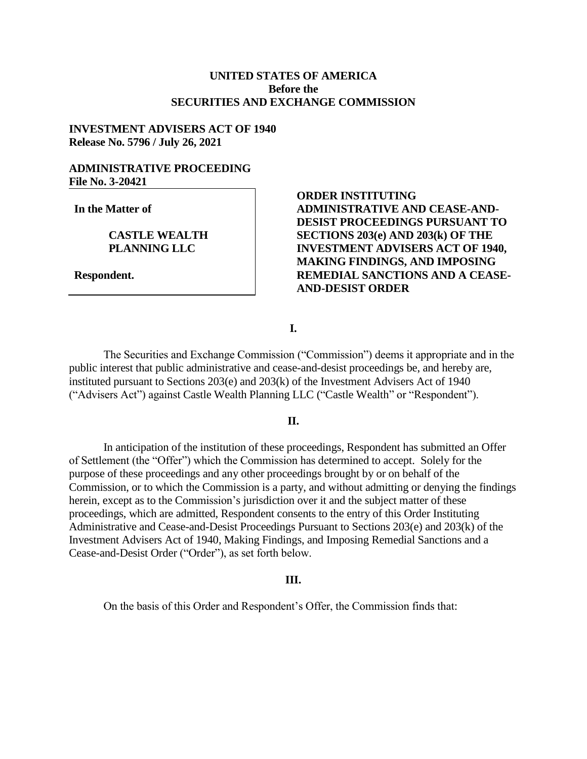# **UNITED STATES OF AMERICA Before the SECURITIES AND EXCHANGE COMMISSION**

## **INVESTMENT ADVISERS ACT OF 1940 Release No. 5796 / July 26, 2021**

## **ADMINISTRATIVE PROCEEDING File No. 3-20421**

**In the Matter of**

### **CASTLE WEALTH PLANNING LLC**

**Respondent.**

# **ORDER INSTITUTING ADMINISTRATIVE AND CEASE-AND-DESIST PROCEEDINGS PURSUANT TO SECTIONS 203(e) AND 203(k) OF THE INVESTMENT ADVISERS ACT OF 1940, MAKING FINDINGS, AND IMPOSING REMEDIAL SANCTIONS AND A CEASE-AND-DESIST ORDER**

## **I.**

The Securities and Exchange Commission ("Commission") deems it appropriate and in the public interest that public administrative and cease-and-desist proceedings be, and hereby are, instituted pursuant to Sections 203(e) and 203(k) of the Investment Advisers Act of 1940 ("Advisers Act") against Castle Wealth Planning LLC ("Castle Wealth" or "Respondent").

## **II.**

In anticipation of the institution of these proceedings, Respondent has submitted an Offer of Settlement (the "Offer") which the Commission has determined to accept. Solely for the purpose of these proceedings and any other proceedings brought by or on behalf of the Commission, or to which the Commission is a party, and without admitting or denying the findings herein, except as to the Commission's jurisdiction over it and the subject matter of these proceedings, which are admitted, Respondent consents to the entry of this Order Instituting Administrative and Cease-and-Desist Proceedings Pursuant to Sections 203(e) and 203(k) of the Investment Advisers Act of 1940, Making Findings, and Imposing Remedial Sanctions and a Cease-and-Desist Order ("Order"), as set forth below.

#### **III.**

On the basis of this Order and Respondent's Offer, the Commission finds that: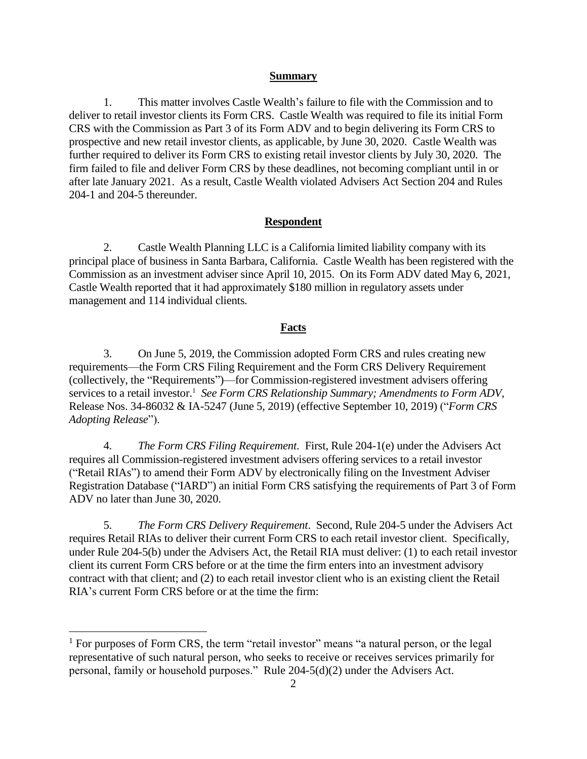### **Summary**

1. This matter involves Castle Wealth's failure to file with the Commission and to deliver to retail investor clients its Form CRS. Castle Wealth was required to file its initial Form CRS with the Commission as Part 3 of its Form ADV and to begin delivering its Form CRS to prospective and new retail investor clients, as applicable, by June 30, 2020. Castle Wealth was further required to deliver its Form CRS to existing retail investor clients by July 30, 2020. The firm failed to file and deliver Form CRS by these deadlines, not becoming compliant until in or after late January 2021. As a result, Castle Wealth violated Advisers Act Section 204 and Rules 204-1 and 204-5 thereunder.

### **Respondent**

2. Castle Wealth Planning LLC is a California limited liability company with its principal place of business in Santa Barbara, California. Castle Wealth has been registered with the Commission as an investment adviser since April 10, 2015. On its Form ADV dated May 6, 2021, Castle Wealth reported that it had approximately \$180 million in regulatory assets under management and 114 individual clients.

### **Facts**

3. On June 5, 2019, the Commission adopted Form CRS and rules creating new requirements—the Form CRS Filing Requirement and the Form CRS Delivery Requirement (collectively, the "Requirements")—for Commission-registered investment advisers offering services to a retail investor.<sup>1</sup> See Form CRS Relationship Summary; Amendments to Form ADV, Release Nos. 34-86032 & IA-5247 (June 5, 2019) (effective September 10, 2019) ("*Form CRS Adopting Release*").

4. *The Form CRS Filing Requirement*. First, Rule 204-1(e) under the Advisers Act requires all Commission-registered investment advisers offering services to a retail investor ("Retail RIAs") to amend their Form ADV by electronically filing on the Investment Adviser Registration Database ("IARD") an initial Form CRS satisfying the requirements of Part 3 of Form ADV no later than June 30, 2020.

5. *The Form CRS Delivery Requirement*. Second, Rule 204-5 under the Advisers Act requires Retail RIAs to deliver their current Form CRS to each retail investor client. Specifically, under Rule 204-5(b) under the Advisers Act, the Retail RIA must deliver: (1) to each retail investor client its current Form CRS before or at the time the firm enters into an investment advisory contract with that client; and (2) to each retail investor client who is an existing client the Retail RIA's current Form CRS before or at the time the firm:

 $\overline{a}$ 

 $<sup>1</sup>$  For purposes of Form CRS, the term "retail investor" means "a natural person, or the legal</sup> representative of such natural person, who seeks to receive or receives services primarily for personal, family or household purposes." Rule 204-5(d)(2) under the Advisers Act.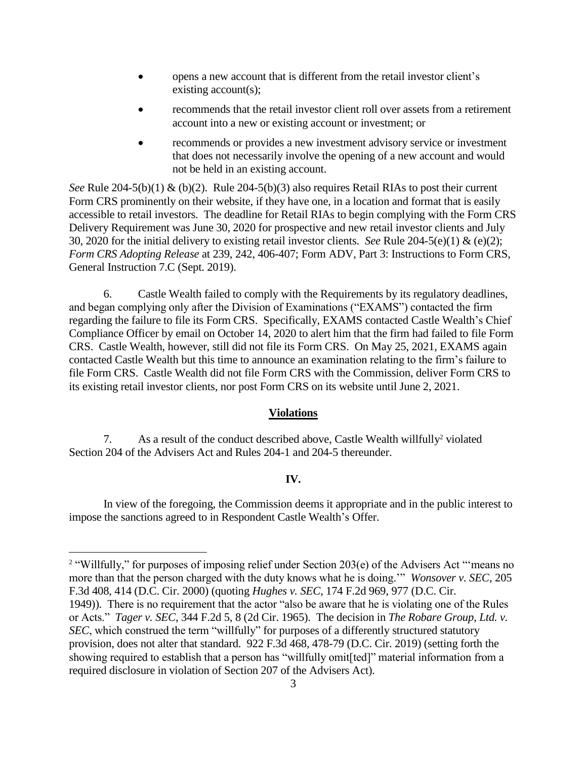- opens a new account that is different from the retail investor client's existing account(s);
- recommends that the retail investor client roll over assets from a retirement account into a new or existing account or investment; or
- recommends or provides a new investment advisory service or investment that does not necessarily involve the opening of a new account and would not be held in an existing account.

*See* Rule 204-5(b)(1) & (b)(2). Rule 204-5(b)(3) also requires Retail RIAs to post their current Form CRS prominently on their website, if they have one, in a location and format that is easily accessible to retail investors. The deadline for Retail RIAs to begin complying with the Form CRS Delivery Requirement was June 30, 2020 for prospective and new retail investor clients and July 30, 2020 for the initial delivery to existing retail investor clients. *See* Rule 204-5(e)(1) & (e)(2); *Form CRS Adopting Release* at 239, 242, 406-407; Form ADV, Part 3: Instructions to Form CRS, General Instruction 7.C (Sept. 2019).

6. Castle Wealth failed to comply with the Requirements by its regulatory deadlines, and began complying only after the Division of Examinations ("EXAMS") contacted the firm regarding the failure to file its Form CRS. Specifically, EXAMS contacted Castle Wealth's Chief Compliance Officer by email on October 14, 2020 to alert him that the firm had failed to file Form CRS. Castle Wealth, however, still did not file its Form CRS. On May 25, 2021, EXAMS again contacted Castle Wealth but this time to announce an examination relating to the firm's failure to file Form CRS. Castle Wealth did not file Form CRS with the Commission, deliver Form CRS to its existing retail investor clients, nor post Form CRS on its website until June 2, 2021.

### **Violations**

7. As a result of the conduct described above, Castle Wealth willfully<sup>2</sup> violated Section 204 of the Advisers Act and Rules 204-1 and 204-5 thereunder.

 $\overline{a}$ 

### **IV.**

In view of the foregoing, the Commission deems it appropriate and in the public interest to impose the sanctions agreed to in Respondent Castle Wealth's Offer.

<sup>&</sup>lt;sup>2</sup> "Willfully," for purposes of imposing relief under Section 203(e) of the Advisers Act "means no more than that the person charged with the duty knows what he is doing.'" *Wonsover v. SEC*, 205 F.3d 408, 414 (D.C. Cir. 2000) (quoting *Hughes v. SEC*, 174 F.2d 969, 977 (D.C. Cir. 1949)). There is no requirement that the actor "also be aware that he is violating one of the Rules or Acts." *Tager v. SEC*, 344 F.2d 5, 8 (2d Cir. 1965). The decision in *The Robare Group, Ltd. v. SEC*, which construed the term "willfully" for purposes of a differently structured statutory provision, does not alter that standard. 922 F.3d 468, 478-79 (D.C. Cir. 2019) (setting forth the showing required to establish that a person has "willfully omit[ted]" material information from a required disclosure in violation of Section 207 of the Advisers Act).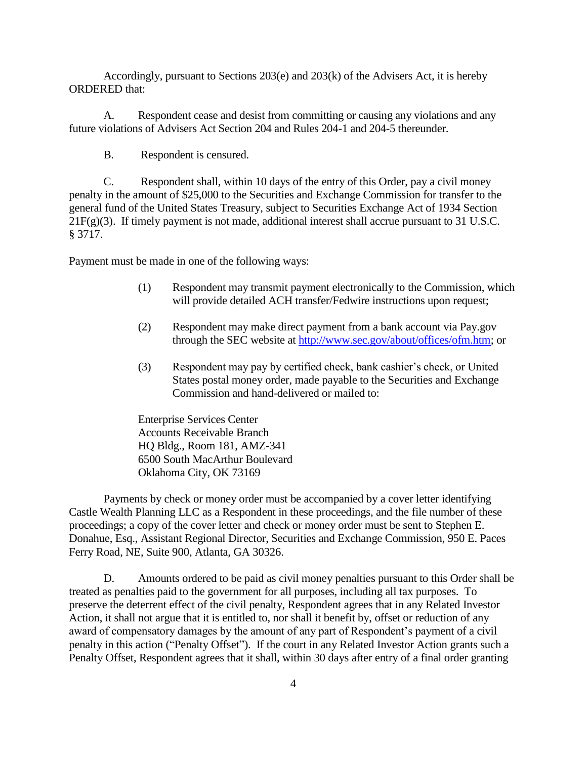Accordingly, pursuant to Sections 203(e) and 203(k) of the Advisers Act, it is hereby ORDERED that:

A. Respondent cease and desist from committing or causing any violations and any future violations of Advisers Act Section 204 and Rules 204-1 and 204-5 thereunder.

B. Respondent is censured.

C. Respondent shall, within 10 days of the entry of this Order, pay a civil money penalty in the amount of \$25,000 to the Securities and Exchange Commission for transfer to the general fund of the United States Treasury, subject to Securities Exchange Act of 1934 Section 21F(g)(3). If timely payment is not made, additional interest shall accrue pursuant to 31 U.S.C. § 3717.

Payment must be made in one of the following ways:

- (1) Respondent may transmit payment electronically to the Commission, which will provide detailed ACH transfer/Fedwire instructions upon request;
- (2) Respondent may make direct payment from a bank account via Pay.gov through the SEC website at [http://www.sec.gov/about/offices/ofm.htm;](http://www.sec.gov/about/offices/ofm.htm) or
- (3) Respondent may pay by certified check, bank cashier's check, or United States postal money order, made payable to the Securities and Exchange Commission and hand-delivered or mailed to:

Enterprise Services Center Accounts Receivable Branch HQ Bldg., Room 181, AMZ-341 6500 South MacArthur Boulevard Oklahoma City, OK 73169

Payments by check or money order must be accompanied by a cover letter identifying Castle Wealth Planning LLC as a Respondent in these proceedings, and the file number of these proceedings; a copy of the cover letter and check or money order must be sent to Stephen E. Donahue, Esq., Assistant Regional Director, Securities and Exchange Commission, 950 E. Paces Ferry Road, NE, Suite 900, Atlanta, GA 30326.

D. Amounts ordered to be paid as civil money penalties pursuant to this Order shall be treated as penalties paid to the government for all purposes, including all tax purposes. To preserve the deterrent effect of the civil penalty, Respondent agrees that in any Related Investor Action, it shall not argue that it is entitled to, nor shall it benefit by, offset or reduction of any award of compensatory damages by the amount of any part of Respondent's payment of a civil penalty in this action ("Penalty Offset"). If the court in any Related Investor Action grants such a Penalty Offset, Respondent agrees that it shall, within 30 days after entry of a final order granting